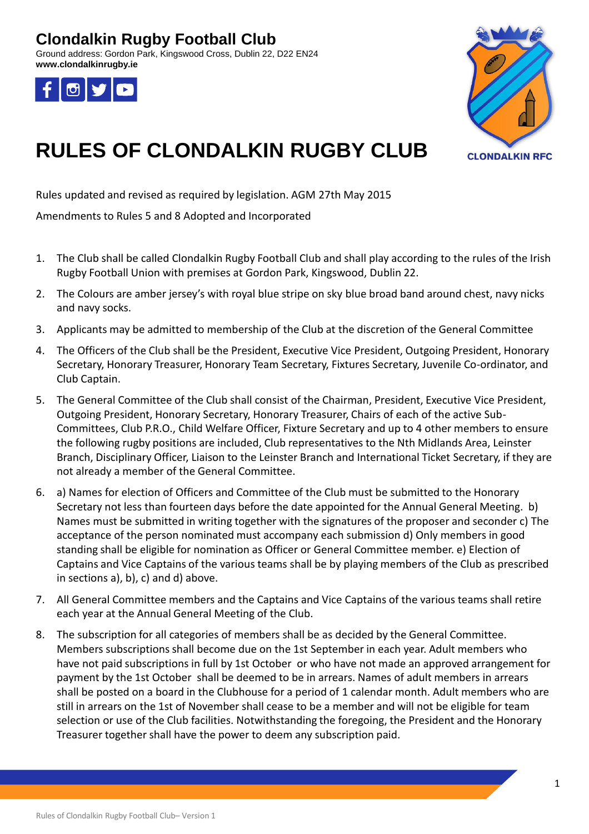Ground address: Gordon Park, Kingswood Cross, Dublin 22, D22 EN24 **www.clondalkinrugby.ie**





# **RULES OF CLONDALKIN RUGBY CLUB**

Rules updated and revised as required by legislation. AGM 27th May 2015

Amendments to Rules 5 and 8 Adopted and Incorporated

- 1. The Club shall be called Clondalkin Rugby Football Club and shall play according to the rules of the Irish Rugby Football Union with premises at Gordon Park, Kingswood, Dublin 22.
- 2. The Colours are amber jersey's with royal blue stripe on sky blue broad band around chest, navy nicks and navy socks.
- 3. Applicants may be admitted to membership of the Club at the discretion of the General Committee
- 4. The Officers of the Club shall be the President, Executive Vice President, Outgoing President, Honorary Secretary, Honorary Treasurer, Honorary Team Secretary, Fixtures Secretary, Juvenile Co-ordinator, and Club Captain.
- 5. The General Committee of the Club shall consist of the Chairman, President, Executive Vice President, Outgoing President, Honorary Secretary, Honorary Treasurer, Chairs of each of the active Sub-Committees, Club P.R.O., Child Welfare Officer, Fixture Secretary and up to 4 other members to ensure the following rugby positions are included, Club representatives to the Nth Midlands Area, Leinster Branch, Disciplinary Officer, Liaison to the Leinster Branch and International Ticket Secretary, if they are not already a member of the General Committee.
- 6. a) Names for election of Officers and Committee of the Club must be submitted to the Honorary Secretary not less than fourteen days before the date appointed for the Annual General Meeting. b) Names must be submitted in writing together with the signatures of the proposer and seconder c) The acceptance of the person nominated must accompany each submission d) Only members in good standing shall be eligible for nomination as Officer or General Committee member. e) Election of Captains and Vice Captains of the various teams shall be by playing members of the Club as prescribed in sections a), b), c) and d) above.
- 7. All General Committee members and the Captains and Vice Captains of the various teams shall retire each year at the Annual General Meeting of the Club.
- 8. The subscription for all categories of members shall be as decided by the General Committee. Members subscriptions shall become due on the 1st September in each year. Adult members who have not paid subscriptions in full by 1st October or who have not made an approved arrangement for payment by the 1st October shall be deemed to be in arrears. Names of adult members in arrears shall be posted on a board in the Clubhouse for a period of 1 calendar month. Adult members who are still in arrears on the 1st of November shall cease to be a member and will not be eligible for team selection or use of the Club facilities. Notwithstanding the foregoing, the President and the Honorary Treasurer together shall have the power to deem any subscription paid.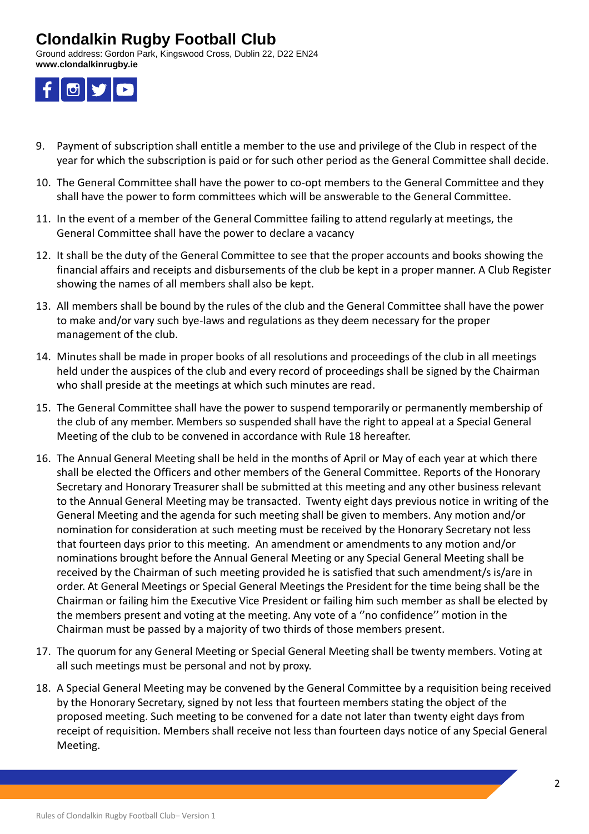Ground address: Gordon Park, Kingswood Cross, Dublin 22, D22 EN24 **www.clondalkinrugby.ie**



- 9. Payment of subscription shall entitle a member to the use and privilege of the Club in respect of the year for which the subscription is paid or for such other period as the General Committee shall decide.
- 10. The General Committee shall have the power to co-opt members to the General Committee and they shall have the power to form committees which will be answerable to the General Committee.
- 11. In the event of a member of the General Committee failing to attend regularly at meetings, the General Committee shall have the power to declare a vacancy
- 12. It shall be the duty of the General Committee to see that the proper accounts and books showing the financial affairs and receipts and disbursements of the club be kept in a proper manner. A Club Register showing the names of all members shall also be kept.
- 13. All members shall be bound by the rules of the club and the General Committee shall have the power to make and/or vary such bye-laws and regulations as they deem necessary for the proper management of the club.
- 14. Minutes shall be made in proper books of all resolutions and proceedings of the club in all meetings held under the auspices of the club and every record of proceedings shall be signed by the Chairman who shall preside at the meetings at which such minutes are read.
- 15. The General Committee shall have the power to suspend temporarily or permanently membership of the club of any member. Members so suspended shall have the right to appeal at a Special General Meeting of the club to be convened in accordance with Rule 18 hereafter.
- 16. The Annual General Meeting shall be held in the months of April or May of each year at which there shall be elected the Officers and other members of the General Committee. Reports of the Honorary Secretary and Honorary Treasurer shall be submitted at this meeting and any other business relevant to the Annual General Meeting may be transacted. Twenty eight days previous notice in writing of the General Meeting and the agenda for such meeting shall be given to members. Any motion and/or nomination for consideration at such meeting must be received by the Honorary Secretary not less that fourteen days prior to this meeting. An amendment or amendments to any motion and/or nominations brought before the Annual General Meeting or any Special General Meeting shall be received by the Chairman of such meeting provided he is satisfied that such amendment/s is/are in order. At General Meetings or Special General Meetings the President for the time being shall be the Chairman or failing him the Executive Vice President or failing him such member as shall be elected by the members present and voting at the meeting. Any vote of a ''no confidence'' motion in the Chairman must be passed by a majority of two thirds of those members present.
- 17. The quorum for any General Meeting or Special General Meeting shall be twenty members. Voting at all such meetings must be personal and not by proxy.
- 18. A Special General Meeting may be convened by the General Committee by a requisition being received by the Honorary Secretary, signed by not less that fourteen members stating the object of the proposed meeting. Such meeting to be convened for a date not later than twenty eight days from receipt of requisition. Members shall receive not less than fourteen days notice of any Special General Meeting.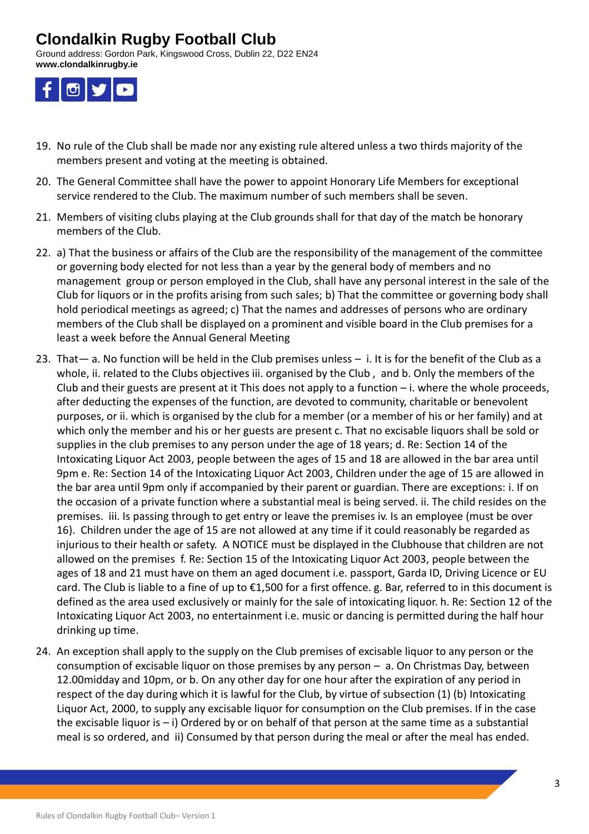Ground address: Gordon Park, Kingswood Cross, Dublin 22, D22 EN24 **www.clondalkinrugby.ie**



- 19. No rule of the Club shall be made nor any existing rule altered unless a two thirds majority of the members present and voting at the meeting is obtained.
- 20. The General Committee shall have the power to appoint Honorary Life Members for exceptional service rendered to the Club. The maximum number of such members shall be seven.
- 21. Members of visiting clubs playing at the Club grounds shall for that day of the match be honorary members of the Club.
- 22. a) That the business or affairs of the Club are the responsibility of the management of the committee or governing body elected for not less than a year by the general body of members and no management group or person employed in the Club, shall have any personal interest in the sale of the Club for liquors or in the profits arising from such sales; b) That the committee or governing body shall hold periodical meetings as agreed; c) That the names and addresses of persons who are ordinary members of the Club shall be displayed on a prominent and visible board in the Club premises for a least a week before the Annual General Meeting
- 23. That— a. No function will be held in the Club premises unless i. It is for the benefit of the Club as a whole, ii. related to the Clubs objectives iii. organised by the Club , and b. Only the members of the Club and their guests are present at it This does not apply to a function  $-$  i. where the whole proceeds, after deducting the expenses of the function, are devoted to community, charitable or benevolent purposes, or ii. which is organised by the club for a member (or a member of his or her family) and at which only the member and his or her guests are present c. That no excisable liquors shall be sold or supplies in the club premises to any person under the age of 18 years; d. Re: Section 14 of the Intoxicating Liquor Act 2003, people between the ages of 15 and 18 are allowed in the bar area until 9pm e. Re: Section 14 of the Intoxicating Liquor Act 2003, Children under the age of 15 are allowed in the bar area until 9pm only if accompanied by their parent or guardian. There are exceptions: i. If on the occasion of a private function where a substantial meal is being served. ii. The child resides on the premises. iii. Is passing through to get entry or leave the premises iv. Is an employee (must be over 16). Children under the age of 15 are not allowed at any time if it could reasonably be regarded as injurious to their health or safety. A NOTICE must be displayed in the Clubhouse that children are not allowed on the premises f. Re: Section 15 of the Intoxicating Liquor Act 2003, people between the ages of 18 and 21 must have on them an aged document i.e. passport, Garda ID, Driving Licence or EU card. The Club is liable to a fine of up to €1,500 for a first offence. g. Bar, referred to in this document is defined as the area used exclusively or mainly for the sale of intoxicating liquor. h. Re: Section 12 of the Intoxicating Liquor Act 2003, no entertainment i.e. music or dancing is permitted during the half hour drinking up time.
- 24. An exception shall apply to the supply on the Club premises of excisable liquor to any person or the consumption of excisable liquor on those premises by any person – a. On Christmas Day, between 12.00midday and 10pm, or b. On any other day for one hour after the expiration of any period in respect of the day during which it is lawful for the Club, by virtue of subsection (1) (b) Intoxicating Liquor Act, 2000, to supply any excisable liquor for consumption on the Club premises. If in the case the excisable liquor is  $-$  i) Ordered by or on behalf of that person at the same time as a substantial meal is so ordered, and ii) Consumed by that person during the meal or after the meal has ended.